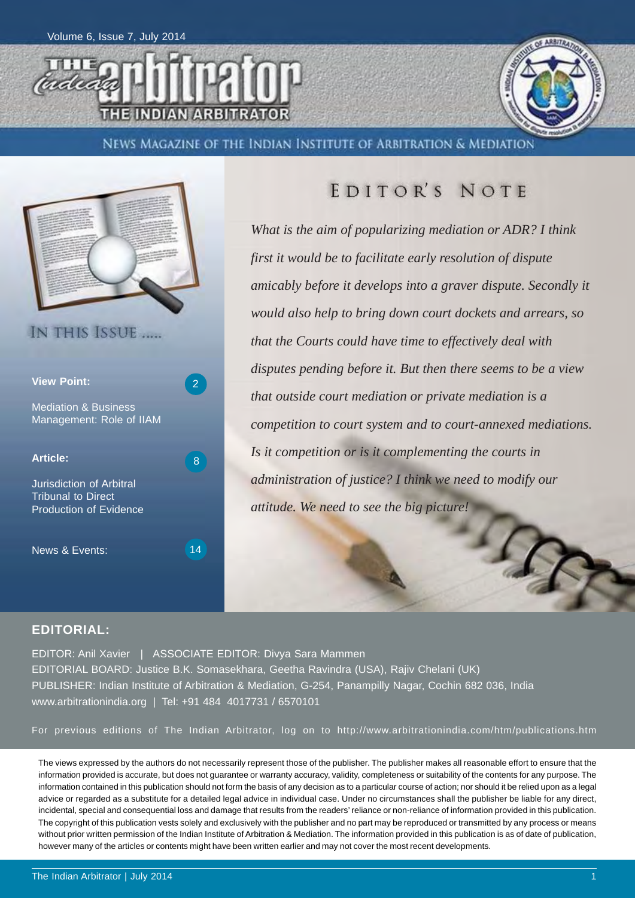



News Magazine of the Indian Institute of Arbitration & Mediation



### EDITOR'S NOTE

*What is the aim of popularizing mediation or ADR? I think first it would be to facilitate early resolution of dispute amicably before it develops into a graver dispute. Secondly it would also help to bring down court dockets and arrears, so that the Courts could have time to effectively deal with disputes pending before it. But then there seems to be a view that outside court mediation or private mediation is a competition to court system and to court-annexed mediations. Is it competition or is it complementing the courts in administration of justice? I think we need to modify our attitude. We need to see the big picture!*

#### **EDITORIAL:**

EDITOR: Anil Xavier | ASSOCIATE EDITOR: Divya Sara Mammen EDITORIAL BOARD: Justice B.K. Somasekhara, Geetha Ravindra (USA), Rajiv Chelani (UK) PUBLISHER: Indian Institute of Arbitration & Mediation, G-254, Panampilly Nagar, Cochin 682 036, India www.arbitrationindia.org | Tel: +91 484 4017731 / 6570101

For previous editions of The Indian Arbitrator, log on to http://www.arbitrationindia.com/htm/publications.htm

The views expressed by the authors do not necessarily represent those of the publisher. The publisher makes all reasonable effort to ensure that the information provided is accurate, but does not guarantee or warranty accuracy, validity, completeness or suitability of the contents for any purpose. The information contained in this publication should not form the basis of any decision as to a particular course of action; nor should it be relied upon as a legal advice or regarded as a substitute for a detailed legal advice in individual case. Under no circumstances shall the publisher be liable for any direct, incidental, special and consequential loss and damage that results from the readers' reliance or non-reliance of information provided in this publication. The copyright of this publication vests solely and exclusively with the publisher and no part may be reproduced or transmitted by any process or means without prior written permission of the Indian Institute of Arbitration & Mediation. The information provided in this publication is as of date of publication, however many of the articles or contents might have been written earlier and may not cover the most recent developments.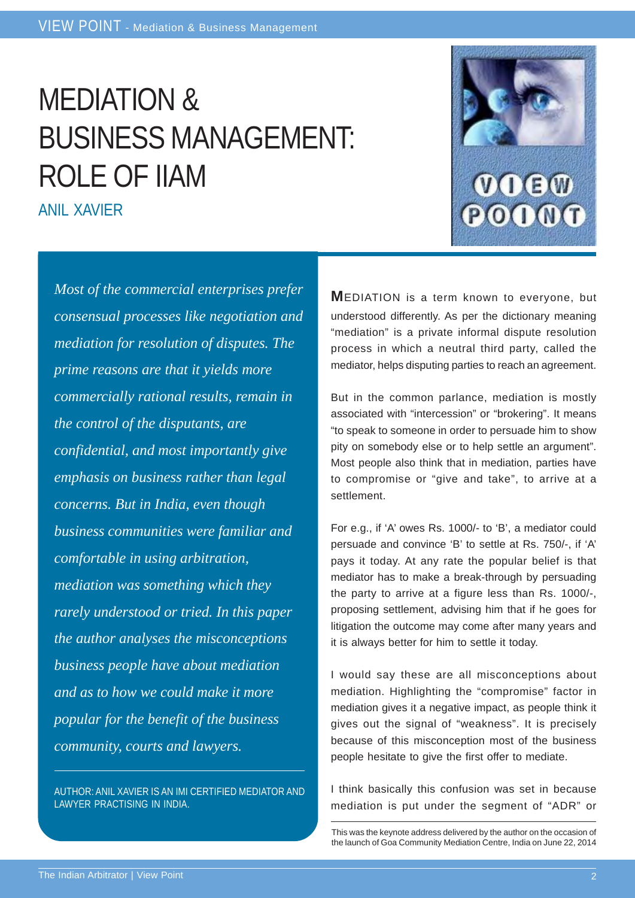# MEDIATION & BUSINESS MANAGEMENT: ROLE OF IIAM

ANIL XAVIER



AUTHOR: ANIL XAVIER IS AN IMI CERTIFIED MEDIATOR AND LAWYER PRACTISING IN INDIA.

**M**EDIATION is a term known to everyone, but understood differently. As per the dictionary meaning "mediation" is a private informal dispute resolution process in which a neutral third party, called the mediator, helps disputing parties to reach an agreement.

But in the common parlance, mediation is mostly associated with "intercession" or "brokering". It means "to speak to someone in order to persuade him to show pity on somebody else or to help settle an argument". Most people also think that in mediation, parties have to compromise or "give and take", to arrive at a settlement.

For e.g., if 'A' owes Rs. 1000/- to 'B', a mediator could persuade and convince 'B' to settle at Rs. 750/-, if 'A' pays it today. At any rate the popular belief is that mediator has to make a break-through by persuading the party to arrive at a figure less than Rs. 1000/-, proposing settlement, advising him that if he goes for litigation the outcome may come after many years and it is always better for him to settle it today.

I would say these are all misconceptions about mediation. Highlighting the "compromise" factor in mediation gives it a negative impact, as people think it gives out the signal of "weakness". It is precisely because of this misconception most of the business people hesitate to give the first offer to mediate.

I think basically this confusion was set in because mediation is put under the segment of "ADR" or



This was the keynote address delivered by the author on the occasion of the launch of Goa Community Mediation Centre, India on June 22, 2014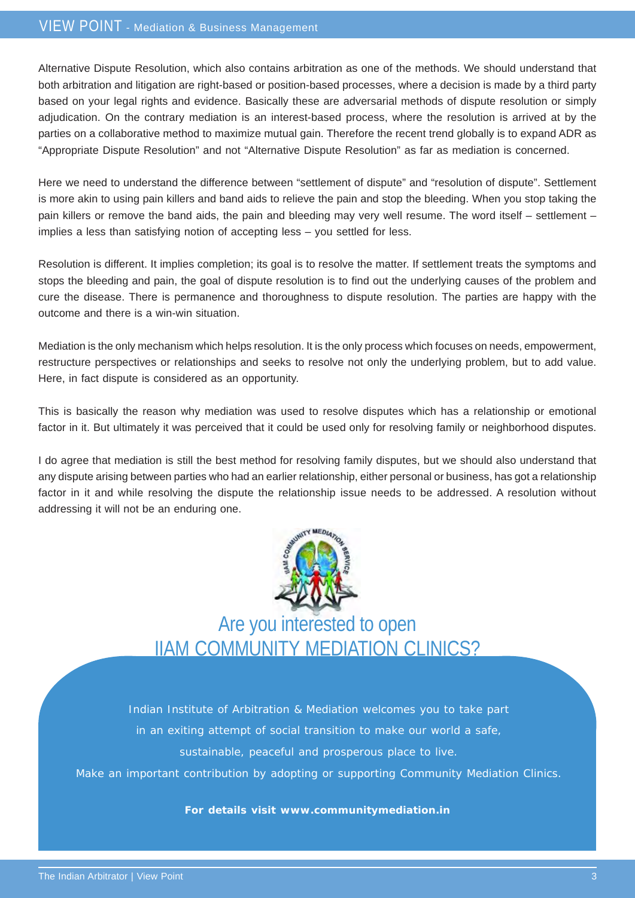Alternative Dispute Resolution, which also contains arbitration as one of the methods. We should understand that both arbitration and litigation are right-based or position-based processes, where a decision is made by a third party based on your legal rights and evidence. Basically these are adversarial methods of dispute resolution or simply adjudication. On the contrary mediation is an interest-based process, where the resolution is arrived at by the parties on a collaborative method to maximize mutual gain. Therefore the recent trend globally is to expand ADR as "Appropriate Dispute Resolution" and not "Alternative Dispute Resolution" as far as mediation is concerned.

Here we need to understand the difference between "settlement of dispute" and "resolution of dispute". Settlement is more akin to using pain killers and band aids to relieve the pain and stop the bleeding. When you stop taking the pain killers or remove the band aids, the pain and bleeding may very well resume. The word itself – settlement – implies a less than satisfying notion of accepting less – you settled for less.

Resolution is different. It implies completion; its goal is to resolve the matter. If settlement treats the symptoms and stops the bleeding and pain, the goal of dispute resolution is to find out the underlying causes of the problem and cure the disease. There is permanence and thoroughness to dispute resolution. The parties are happy with the outcome and there is a win-win situation.

Mediation is the only mechanism which helps resolution. It is the only process which focuses on needs, empowerment, restructure perspectives or relationships and seeks to resolve not only the underlying problem, but to add value. Here, in fact dispute is considered as an opportunity.

This is basically the reason why mediation was used to resolve disputes which has a relationship or emotional factor in it. But ultimately it was perceived that it could be used only for resolving family or neighborhood disputes.

I do agree that mediation is still the best method for resolving family disputes, but we should also understand that any dispute arising between parties who had an earlier relationship, either personal or business, has got a relationship factor in it and while resolving the dispute the relationship issue needs to be addressed. A resolution without addressing it will not be an enduring one.



Are you interested to open IIAM COMMUNITY MEDIATION CLINICS?

Indian Institute of Arbitration & Mediation welcomes you to take part in an exiting attempt of social transition to make our world a safe, sustainable, peaceful and prosperous place to live.

Make an important contribution by adopting or supporting Community Mediation Clinics.

**For details visit www.communitymediation.in**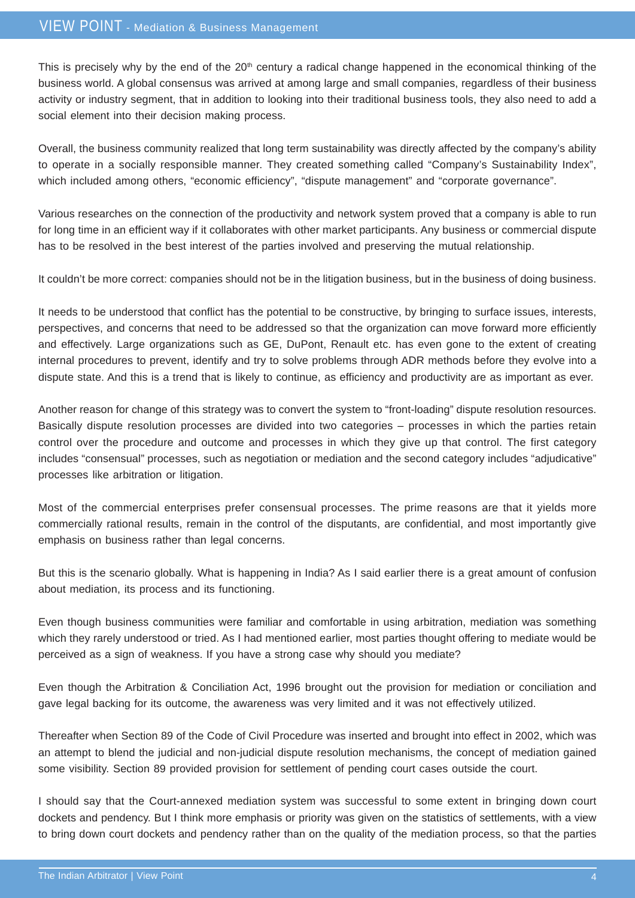This is precisely why by the end of the  $20<sup>th</sup>$  century a radical change happened in the economical thinking of the business world. A global consensus was arrived at among large and small companies, regardless of their business activity or industry segment, that in addition to looking into their traditional business tools, they also need to add a social element into their decision making process.

Overall, the business community realized that long term sustainability was directly affected by the company's ability to operate in a socially responsible manner. They created something called "Company's Sustainability Index", which included among others, "economic efficiency", "dispute management" and "corporate governance".

Various researches on the connection of the productivity and network system proved that a company is able to run for long time in an efficient way if it collaborates with other market participants. Any business or commercial dispute has to be resolved in the best interest of the parties involved and preserving the mutual relationship.

It couldn't be more correct: companies should not be in the litigation business, but in the business of doing business.

It needs to be understood that conflict has the potential to be constructive, by bringing to surface issues, interests, perspectives, and concerns that need to be addressed so that the organization can move forward more efficiently and effectively. Large organizations such as GE, DuPont, Renault etc. has even gone to the extent of creating internal procedures to prevent, identify and try to solve problems through ADR methods before they evolve into a dispute state. And this is a trend that is likely to continue, as efficiency and productivity are as important as ever.

Another reason for change of this strategy was to convert the system to "front-loading" dispute resolution resources. Basically dispute resolution processes are divided into two categories – processes in which the parties retain control over the procedure and outcome and processes in which they give up that control. The first category includes "consensual" processes, such as negotiation or mediation and the second category includes "adjudicative" processes like arbitration or litigation.

Most of the commercial enterprises prefer consensual processes. The prime reasons are that it yields more commercially rational results, remain in the control of the disputants, are confidential, and most importantly give emphasis on business rather than legal concerns.

But this is the scenario globally. What is happening in India? As I said earlier there is a great amount of confusion about mediation, its process and its functioning.

Even though business communities were familiar and comfortable in using arbitration, mediation was something which they rarely understood or tried. As I had mentioned earlier, most parties thought offering to mediate would be perceived as a sign of weakness. If you have a strong case why should you mediate?

Even though the Arbitration & Conciliation Act, 1996 brought out the provision for mediation or conciliation and gave legal backing for its outcome, the awareness was very limited and it was not effectively utilized.

Thereafter when Section 89 of the Code of Civil Procedure was inserted and brought into effect in 2002, which was an attempt to blend the judicial and non-judicial dispute resolution mechanisms, the concept of mediation gained some visibility. Section 89 provided provision for settlement of pending court cases outside the court.

I should say that the Court-annexed mediation system was successful to some extent in bringing down court dockets and pendency. But I think more emphasis or priority was given on the statistics of settlements, with a view to bring down court dockets and pendency rather than on the quality of the mediation process, so that the parties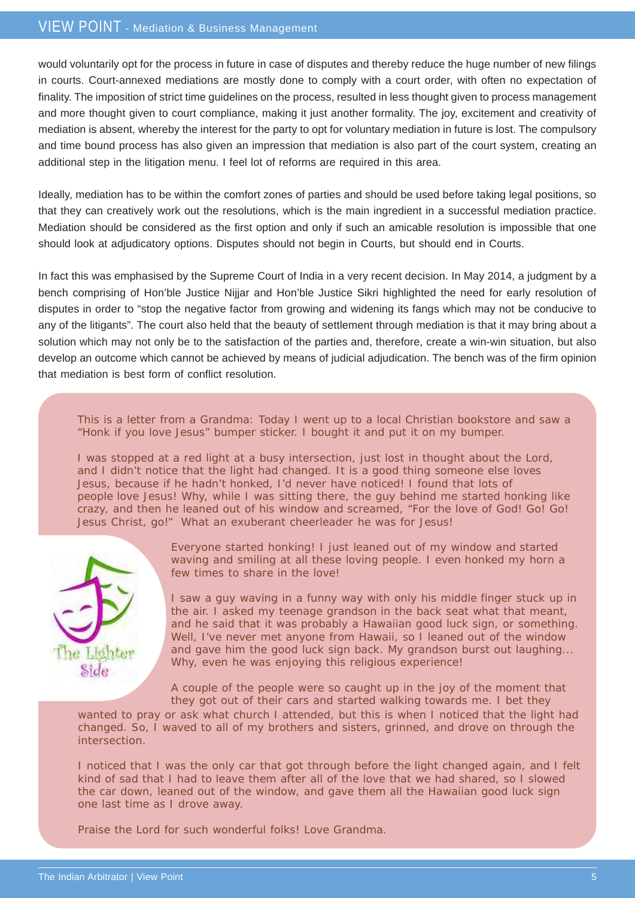would voluntarily opt for the process in future in case of disputes and thereby reduce the huge number of new filings in courts. Court-annexed mediations are mostly done to comply with a court order, with often no expectation of finality. The imposition of strict time guidelines on the process, resulted in less thought given to process management and more thought given to court compliance, making it just another formality. The joy, excitement and creativity of mediation is absent, whereby the interest for the party to opt for voluntary mediation in future is lost. The compulsory and time bound process has also given an impression that mediation is also part of the court system, creating an additional step in the litigation menu. I feel lot of reforms are required in this area.

Ideally, mediation has to be within the comfort zones of parties and should be used before taking legal positions, so that they can creatively work out the resolutions, which is the main ingredient in a successful mediation practice. Mediation should be considered as the first option and only if such an amicable resolution is impossible that one should look at adjudicatory options. Disputes should not begin in Courts, but should end in Courts.

In fact this was emphasised by the Supreme Court of India in a very recent decision. In May 2014, a judgment by a bench comprising of Hon'ble Justice Nijjar and Hon'ble Justice Sikri highlighted the need for early resolution of disputes in order to "stop the negative factor from growing and widening its fangs which may not be conducive to any of the litigants". The court also held that the beauty of settlement through mediation is that it may bring about a solution which may not only be to the satisfaction of the parties and, therefore, create a win-win situation, but also develop an outcome which cannot be achieved by means of judicial adjudication. The bench was of the firm opinion that mediation is best form of conflict resolution.

This is a letter from a Grandma: Today I went up to a local Christian bookstore and saw a "Honk if you love Jesus" bumper sticker. I bought it and put it on my bumper.

I was stopped at a red light at a busy intersection, just lost in thought about the Lord, and I didn't notice that the light had changed. It is a good thing someone else loves Jesus, because if he hadn't honked, I'd never have noticed! I found that lots of people love Jesus! Why, while I was sitting there, the guy behind me started honking like crazy, and then he leaned out of his window and screamed, "For the love of God! Go! Go! Jesus Christ, go!" What an exuberant cheerleader he was for Jesus!



Everyone started honking! I just leaned out of my window and started waving and smiling at all these loving people. I even honked my horn a few times to share in the love!

I saw a guy waving in a funny way with only his middle finger stuck up in the air. I asked my teenage grandson in the back seat what that meant, and he said that it was probably a Hawaiian good luck sign, or something. Well, I've never met anyone from Hawaii, so I leaned out of the window and gave him the good luck sign back. My grandson burst out laughing... Why, even he was enjoying this religious experience!

A couple of the people were so caught up in the joy of the moment that they got out of their cars and started walking towards me. I bet they

wanted to pray or ask what church I attended, but this is when I noticed that the light had changed. So, I waved to all of my brothers and sisters, grinned, and drove on through the intersection.

I noticed that I was the only car that got through before the light changed again, and I felt kind of sad that I had to leave them after all of the love that we had shared, so I slowed the car down, leaned out of the window, and gave them all the Hawaiian good luck sign one last time as I drove away.

Praise the Lord for such wonderful folks! Love Grandma.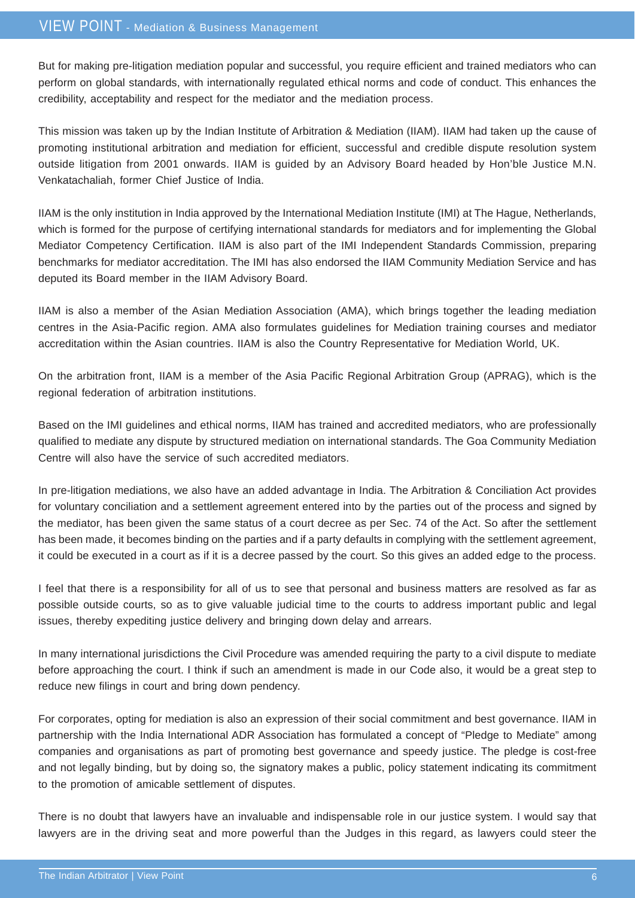But for making pre-litigation mediation popular and successful, you require efficient and trained mediators who can perform on global standards, with internationally regulated ethical norms and code of conduct. This enhances the credibility, acceptability and respect for the mediator and the mediation process.

This mission was taken up by the Indian Institute of Arbitration & Mediation (IIAM). IIAM had taken up the cause of promoting institutional arbitration and mediation for efficient, successful and credible dispute resolution system outside litigation from 2001 onwards. IIAM is guided by an Advisory Board headed by Hon'ble Justice M.N. Venkatachaliah, former Chief Justice of India.

IIAM is the only institution in India approved by the International Mediation Institute (IMI) at The Hague, Netherlands, which is formed for the purpose of certifying international standards for mediators and for implementing the Global Mediator Competency Certification. IIAM is also part of the IMI Independent Standards Commission, preparing benchmarks for mediator accreditation. The IMI has also endorsed the IIAM Community Mediation Service and has deputed its Board member in the IIAM Advisory Board.

IIAM is also a member of the Asian Mediation Association (AMA), which brings together the leading mediation centres in the Asia-Pacific region. AMA also formulates guidelines for Mediation training courses and mediator accreditation within the Asian countries. IIAM is also the Country Representative for Mediation World, UK.

On the arbitration front, IIAM is a member of the Asia Pacific Regional Arbitration Group (APRAG), which is the regional federation of arbitration institutions.

Based on the IMI guidelines and ethical norms, IIAM has trained and accredited mediators, who are professionally qualified to mediate any dispute by structured mediation on international standards. The Goa Community Mediation Centre will also have the service of such accredited mediators.

In pre-litigation mediations, we also have an added advantage in India. The Arbitration & Conciliation Act provides for voluntary conciliation and a settlement agreement entered into by the parties out of the process and signed by the mediator, has been given the same status of a court decree as per Sec. 74 of the Act. So after the settlement has been made, it becomes binding on the parties and if a party defaults in complying with the settlement agreement, it could be executed in a court as if it is a decree passed by the court. So this gives an added edge to the process.

I feel that there is a responsibility for all of us to see that personal and business matters are resolved as far as possible outside courts, so as to give valuable judicial time to the courts to address important public and legal issues, thereby expediting justice delivery and bringing down delay and arrears.

In many international jurisdictions the Civil Procedure was amended requiring the party to a civil dispute to mediate before approaching the court. I think if such an amendment is made in our Code also, it would be a great step to reduce new filings in court and bring down pendency.

For corporates, opting for mediation is also an expression of their social commitment and best governance. IIAM in partnership with the India International ADR Association has formulated a concept of "Pledge to Mediate" among companies and organisations as part of promoting best governance and speedy justice. The pledge is cost-free and not legally binding, but by doing so, the signatory makes a public, policy statement indicating its commitment to the promotion of amicable settlement of disputes.

There is no doubt that lawyers have an invaluable and indispensable role in our justice system. I would say that lawyers are in the driving seat and more powerful than the Judges in this regard, as lawyers could steer the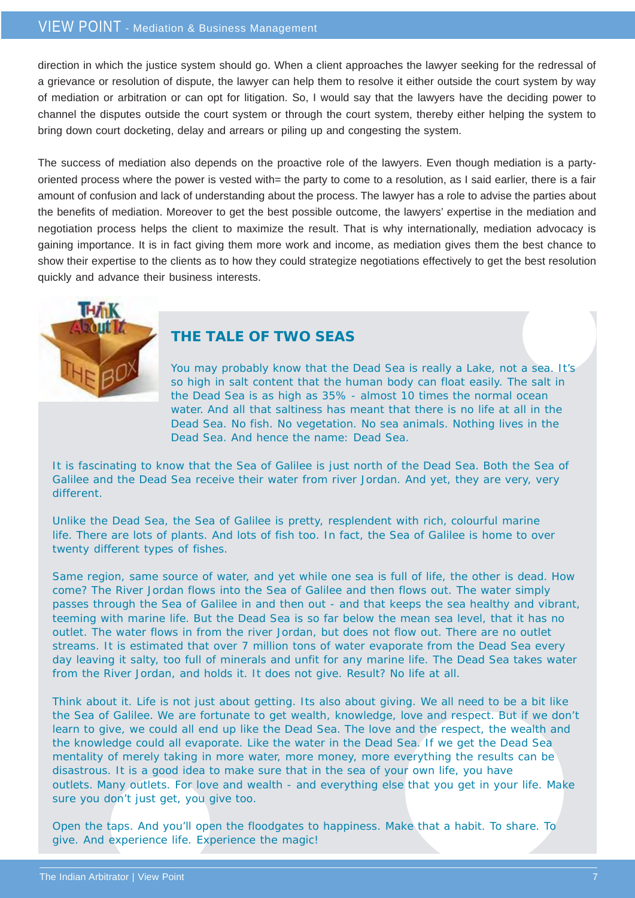direction in which the justice system should go. When a client approaches the lawyer seeking for the redressal of a grievance or resolution of dispute, the lawyer can help them to resolve it either outside the court system by way of mediation or arbitration or can opt for litigation. So, I would say that the lawyers have the deciding power to channel the disputes outside the court system or through the court system, thereby either helping the system to bring down court docketing, delay and arrears or piling up and congesting the system.

The success of mediation also depends on the proactive role of the lawyers. Even though mediation is a partyoriented process where the power is vested with= the party to come to a resolution, as I said earlier, there is a fair amount of confusion and lack of understanding about the process. The lawyer has a role to advise the parties about the benefits of mediation. Moreover to get the best possible outcome, the lawyers' expertise in the mediation and negotiation process helps the client to maximize the result. That is why internationally, mediation advocacy is gaining importance. It is in fact giving them more work and income, as mediation gives them the best chance to show their expertise to the clients as to how they could strategize negotiations effectively to get the best resolution quickly and advance their business interests.



#### **THE TALE OF TWO SEAS**

You may probably know that the Dead Sea is really a Lake, not a sea. It's so high in salt content that the human body can float easily. The salt in the Dead Sea is as high as 35% - almost 10 times the normal ocean water. And all that saltiness has meant that there is no life at all in the Dead Sea. No fish. No vegetation. No sea animals. Nothing lives in the Dead Sea. And hence the name: Dead Sea.

It is fascinating to know that the Sea of Galilee is just north of the Dead Sea. Both the Sea of Galilee and the Dead Sea receive their water from river Jordan. And yet, they are very, very different.

Unlike the Dead Sea, the Sea of Galilee is pretty, resplendent with rich, colourful marine life. There are lots of plants. And lots of fish too. In fact, the Sea of Galilee is home to over twenty different types of fishes.

Same region, same source of water, and yet while one sea is full of life, the other is dead. How come? The River Jordan flows into the Sea of Galilee and then flows out. The water simply passes through the Sea of Galilee in and then out - and that keeps the sea healthy and vibrant, teeming with marine life. But the Dead Sea is so far below the mean sea level, that it has no outlet. The water flows in from the river Jordan, but does not flow out. There are no outlet streams. It is estimated that over 7 million tons of water evaporate from the Dead Sea every day leaving it salty, too full of minerals and unfit for any marine life. The Dead Sea takes water from the River Jordan, and holds it. It does not give. Result? No life at all.

Think about it. Life is not just about getting. Its also about giving. We all need to be a bit like the Sea of Galilee. We are fortunate to get wealth, knowledge, love and respect. But if we don't learn to give, we could all end up like the Dead Sea. The love and the respect, the wealth and the knowledge could all evaporate. Like the water in the Dead Sea. If we get the Dead Sea mentality of merely taking in more water, more money, more everything the results can be disastrous. It is a good idea to make sure that in the sea of your own life, you have outlets. Many outlets. For love and wealth - and everything else that you get in your life. Make sure you don't just get, you give too.

Open the taps. And you'll open the floodgates to happiness. Make that a habit. To share. To give. And experience life. Experience the magic!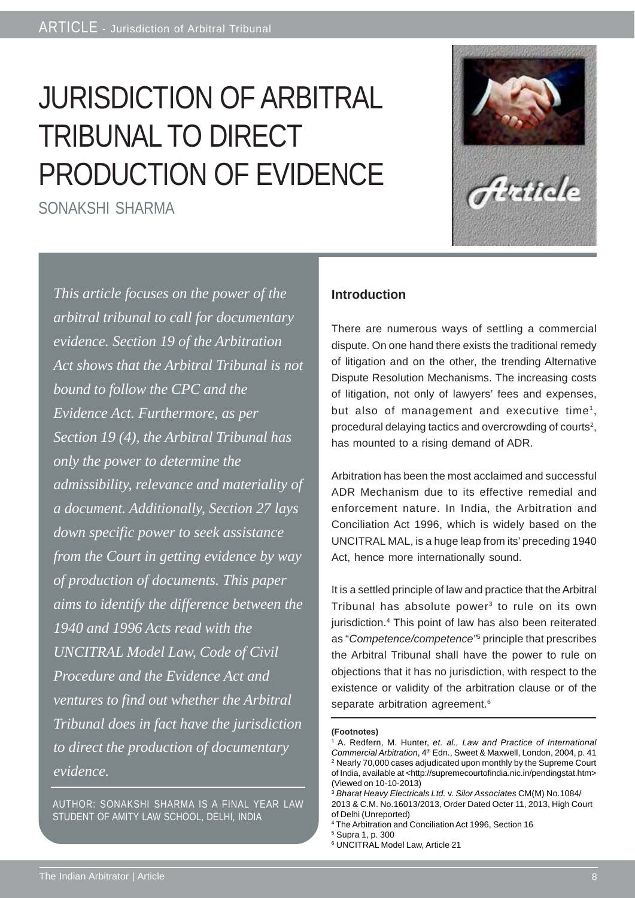# JURISDICTION OF ARBITRAL TRIBUNAL TO DIRECT PRODUCTION OF EVIDENCE

SONAKSHI SHARMA



*This article focuses on the power of the arbitral tribunal to call for documentary evidence. Section 19 of the Arbitration Act shows that the Arbitral Tribunal is not bound to follow the CPC and the Evidence Act. Furthermore, as per Section 19 (4), the Arbitral Tribunal has only the power to determine the admissibility, relevance and materiality of a document. Additionally, Section 27 lays down specific power to seek assistance from the Court in getting evidence by way of production of documents. This paper aims to identify the difference between the 1940 and 1996 Acts read with the UNCITRAL Model Law, Code of Civil Procedure and the Evidence Act and ventures to find out whether the Arbitral Tribunal does in fact have the jurisdiction to direct the production of documentary evidence.*

AUTHOR: SONAKSHI SHARMA IS A FINAL YEAR LAW STUDENT OF AMITY LAW SCHOOL, DELHI, INDIA

#### **Introduction**

There are numerous ways of settling a commercial dispute. On one hand there exists the traditional remedy of litigation and on the other, the trending Alternative Dispute Resolution Mechanisms. The increasing costs of litigation, not only of lawyers' fees and expenses, but also of management and executive time<sup>1</sup>, procedural delaying tactics and overcrowding of courts<sup>2</sup>, has mounted to a rising demand of ADR.

Arbitration has been the most acclaimed and successful ADR Mechanism due to its effective remedial and enforcement nature. In India, the Arbitration and Conciliation Act 1996, which is widely based on the UNCITRAL MAL, is a huge leap from its' preceding 1940 Act, hence more internationally sound.

It is a settled principle of law and practice that the Arbitral Tribunal has absolute power<sup>3</sup> to rule on its own jurisdiction.<sup>4</sup> This point of law has also been reiterated as "*Competence/competence"*<sup>5</sup> principle that prescribes the Arbitral Tribunal shall have the power to rule on objections that it has no jurisdiction, with respect to the existence or validity of the arbitration clause or of the separate arbitration agreement.<sup>6</sup>

#### **(Footnotes)**

<sup>1</sup> A. Redfern, M. Hunter, *et. al., Law and Practice of International Commercial Arbitration*, 4th Edn., Sweet & Maxwell, London, 2004, p. 41 2 Nearly 70,000 cases adjudicated upon monthly by the Supreme Court of India, available at <http://supremecourtofindia.nic.in/pendingstat.htm> (Viewed on 10-10-2013)

<sup>3</sup> *Bharat Heavy Electricals Ltd.* v. *Silor Associates* CM(M) No.1084/ 2013 & C.M. No.16013/2013, Order Dated Octer 11, 2013, High Court of Delhi (Unreported)

<sup>4</sup> The Arbitration and Conciliation Act 1996, Section 16

<sup>5</sup> Supra 1, p. 300

<sup>6</sup> UNCITRAL Model Law, Article 21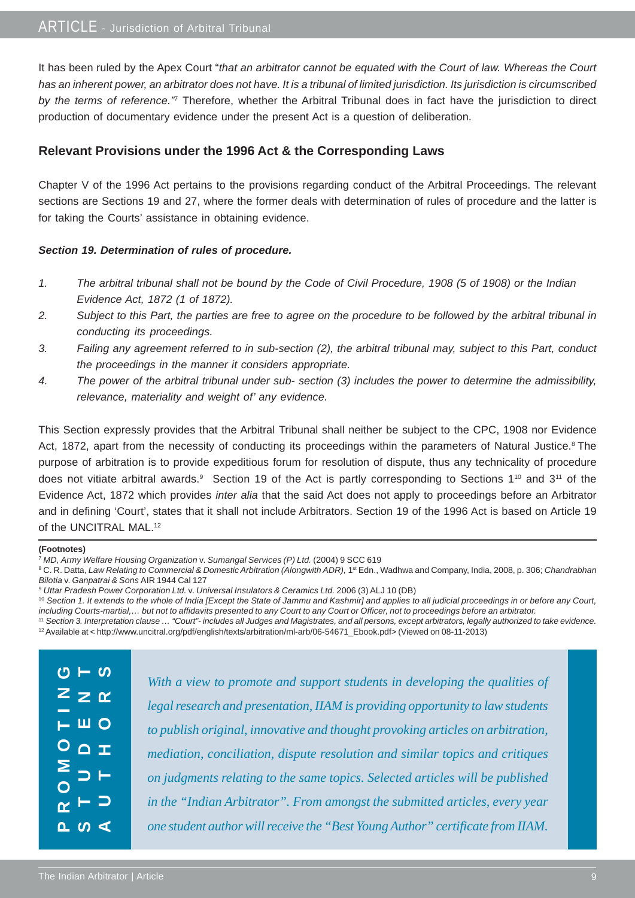It has been ruled by the Apex Court "*that an arbitrator cannot be equated with the Court of law. Whereas the Court has an inherent power, an arbitrator does not have. It is a tribunal of limited jurisdiction. Its jurisdiction is circumscribed by the terms of reference."*<sup>7</sup> Therefore, whether the Arbitral Tribunal does in fact have the jurisdiction to direct production of documentary evidence under the present Act is a question of deliberation.

#### **Relevant Provisions under the 1996 Act & the Corresponding Laws**

Chapter V of the 1996 Act pertains to the provisions regarding conduct of the Arbitral Proceedings. The relevant sections are Sections 19 and 27, where the former deals with determination of rules of procedure and the latter is for taking the Courts' assistance in obtaining evidence.

#### *Section 19. Determination of rules of procedure.*

- *1. The arbitral tribunal shall not be bound by the Code of Civil Procedure, 1908 (5 of 1908) or the Indian Evidence Act, 1872 (1 of 1872).*
- *2. Subject to this Part, the parties are free to agree on the procedure to be followed by the arbitral tribunal in conducting its proceedings.*
- *3. Failing any agreement referred to in sub-section (2), the arbitral tribunal may, subject to this Part, conduct the proceedings in the manner it considers appropriate.*
- *4. The power of the arbitral tribunal under sub- section (3) includes the power to determine the admissibility, relevance, materiality and weight of' any evidence.*

This Section expressly provides that the Arbitral Tribunal shall neither be subject to the CPC, 1908 nor Evidence Act, 1872, apart from the necessity of conducting its proceedings within the parameters of Natural Justice.<sup>8</sup> The purpose of arbitration is to provide expeditious forum for resolution of dispute, thus any technicality of procedure does not vitiate arbitral awards.<sup>9</sup> Section 19 of the Act is partly corresponding to Sections 1<sup>10</sup> and 3<sup>11</sup> of the Evidence Act, 1872 which provides *inter alia* that the said Act does not apply to proceedings before an Arbitrator and in defining 'Court', states that it shall not include Arbitrators. Section 19 of the 1996 Act is based on Article 19 of the UNCITRAL MAL.<sup>12</sup>

#### **(Footnotes)**

<sup>7</sup> *MD, Army Welfare Housing Organization* v. *Sumangal Services (P) Ltd.* (2004) 9 SCC 619

<sup>8</sup> C. R. Datta, Law Relating to Commercial & Domestic Arbitration (Alongwith ADR), 1<sup>st</sup> Edn., Wadhwa and Company, India, 2008, p. 306; Chandrabhan *Bilotia* v. *Ganpatrai & Sons* AIR 1944 Cal 127

<sup>9</sup> *Uttar Pradesh Power Corporation Ltd.* v. *Universal Insulators & Ceramics Ltd.* 2006 (3) ALJ 10 (DB)

<sup>10</sup> Section 1. It extends to the whole of India [Except the State of Jammu and Kashmir] and applies to all judicial proceedings in or before any Court, *including Courts-martial,… but not to affidavits presented to any Court to any Court or Officer, not to proceedings before an arbitrator.*

<sup>11</sup> *Section 3. Interpretation clause … "Court"- includes all Judges and Magistrates, and all persons, except arbitrators, legally authorized to take evidence.* 12 Available at < http://www.uncitral.org/pdf/english/texts/arbitration/ml-arb/06-54671\_Ebook.pdf> (Viewed on 08-11-2013)

| $\alpha - \alpha$         | With a view to promote and support students in developing the qualities of     |
|---------------------------|--------------------------------------------------------------------------------|
| $Z \geq \alpha$           | legal research and presentation, IIAM is providing opportunity to law students |
| $\vdash \vdash \Box$      | to publish original, innovative and thought provoking articles on arbitration, |
| $O \nightharpoonup x$     | mediation, conciliation, dispute resolution and similar topics and critiques   |
| $\frac{5}{10}$            | on judgments relating to the same topics. Selected articles will be published  |
| $\sim$ $ \supset$         | in the "Indian Arbitrator". From amongst the submitted articles, every year    |
| $\omega \leq$<br>$\Omega$ | one student author will receive the "Best Young Author" certificate from IIAM. |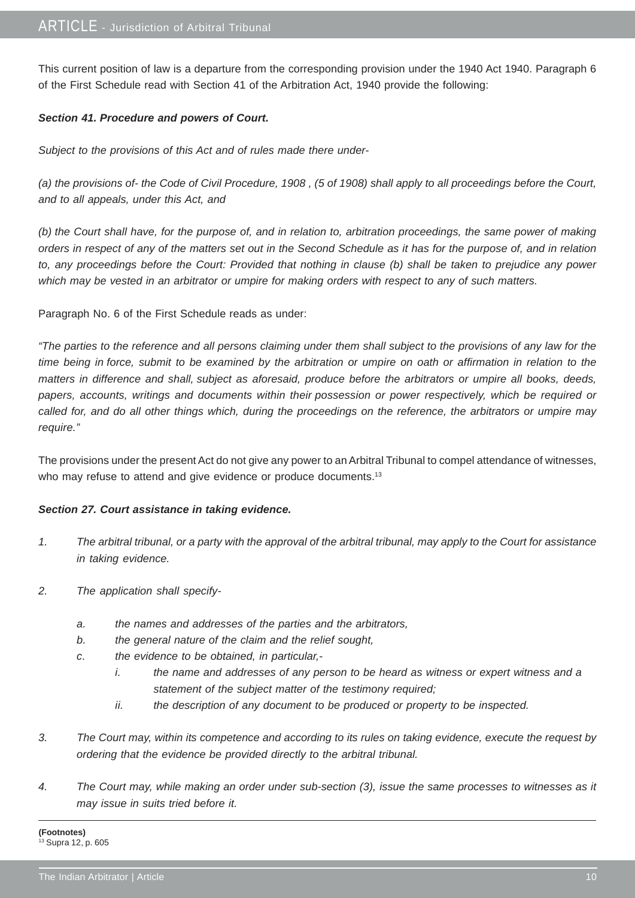This current position of law is a departure from the corresponding provision under the 1940 Act 1940. Paragraph 6 of the First Schedule read with Section 41 of the Arbitration Act, 1940 provide the following:

#### *Section 41. Procedure and powers of Court.*

*Subject to the provisions of this Act and of rules made there under-*

*(a) the provisions of- the Code of Civil Procedure, 1908 , (5 of 1908) shall apply to all proceedings before the Court, and to all appeals, under this Act, and*

*(b) the Court shall have, for the purpose of, and in relation to, arbitration proceedings, the same power of making orders in respect of any of the matters set out in the Second Schedule as it has for the purpose of, and in relation to, any proceedings before the Court: Provided that nothing in clause (b) shall be taken to prejudice any power which may be vested in an arbitrator or umpire for making orders with respect to any of such matters.*

Paragraph No. 6 of the First Schedule reads as under:

*"The parties to the reference and all persons claiming under them shall subject to the provisions of any law for the time being in force, submit to be examined by the arbitration or umpire on oath or affirmation in relation to the matters in difference and shall, subject as aforesaid, produce before the arbitrators or umpire all books, deeds, papers, accounts, writings and documents within their possession or power respectively, which be required or called for, and do all other things which, during the proceedings on the reference, the arbitrators or umpire may require."*

The provisions under the present Act do not give any power to an Arbitral Tribunal to compel attendance of witnesses, who may refuse to attend and give evidence or produce documents.<sup>13</sup>

#### *Section 27. Court assistance in taking evidence.*

- *1. The arbitral tribunal, or a party with the approval of the arbitral tribunal, may apply to the Court for assistance in taking evidence.*
- *2. The application shall specify*
	- *a. the names and addresses of the parties and the arbitrators,*
	- *b. the general nature of the claim and the relief sought,*
	- *c. the evidence to be obtained, in particular,*
		- *i. the name and addresses of any person to be heard as witness or expert witness and a statement of the subject matter of the testimony required;*
		- *ii. the description of any document to be produced or property to be inspected.*
- *3. The Court may, within its competence and according to its rules on taking evidence, execute the request by ordering that the evidence be provided directly to the arbitral tribunal.*
- *4. The Court may, while making an order under sub-section (3), issue the same processes to witnesses as it may issue in suits tried before it.*

**(Footnotes)** 13 Supra 12, p. 605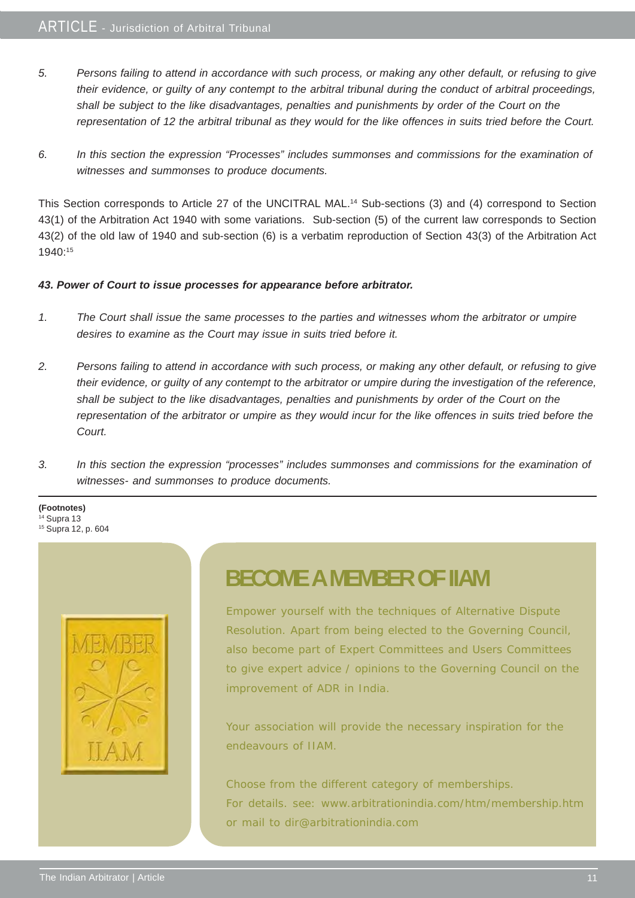- *5. Persons failing to attend in accordance with such process, or making any other default, or refusing to give their evidence, or guilty of any contempt to the arbitral tribunal during the conduct of arbitral proceedings, shall be subject to the like disadvantages, penalties and punishments by order of the Court on the representation of 12 the arbitral tribunal as they would for the like offences in suits tried before the Court.*
- *6. In this section the expression "Processes" includes summonses and commissions for the examination of witnesses and summonses to produce documents.*

This Section corresponds to Article 27 of the UNCITRAL MAL.14 Sub-sections (3) and (4) correspond to Section 43(1) of the Arbitration Act 1940 with some variations. Sub-section (5) of the current law corresponds to Section 43(2) of the old law of 1940 and sub-section (6) is a verbatim reproduction of Section 43(3) of the Arbitration Act 1940:15

#### *43. Power of Court to issue processes for appearance before arbitrator.*

- *1. The Court shall issue the same processes to the parties and witnesses whom the arbitrator or umpire desires to examine as the Court may issue in suits tried before it.*
- *2. Persons failing to attend in accordance with such process, or making any other default, or refusing to give their evidence, or guilty of any contempt to the arbitrator or umpire during the investigation of the reference, shall be subject to the like disadvantages, penalties and punishments by order of the Court on the representation of the arbitrator or umpire as they would incur for the like offences in suits tried before the Court.*
- *3. In this section the expression "processes" includes summonses and commissions for the examination of witnesses- and summonses to produce documents.*
- **(Footnotes)**  $14$  Supra 13 15 Supra 12, p. 604



### **BECOME A MEMBER OF IIAM**

Empower yourself with the techniques of Alternative Dispute Resolution. Apart from being elected to the Governing Council, also become part of Expert Committees and Users Committees to give expert advice / opinions to the Governing Council on the improvement of ADR in India.

Your association will provide the necessary inspiration for the endeavours of IIAM.

Choose from the different category of memberships. For details. see: www.arbitrationindia.com/htm/membership.htm or mail to dir@arbitrationindia.com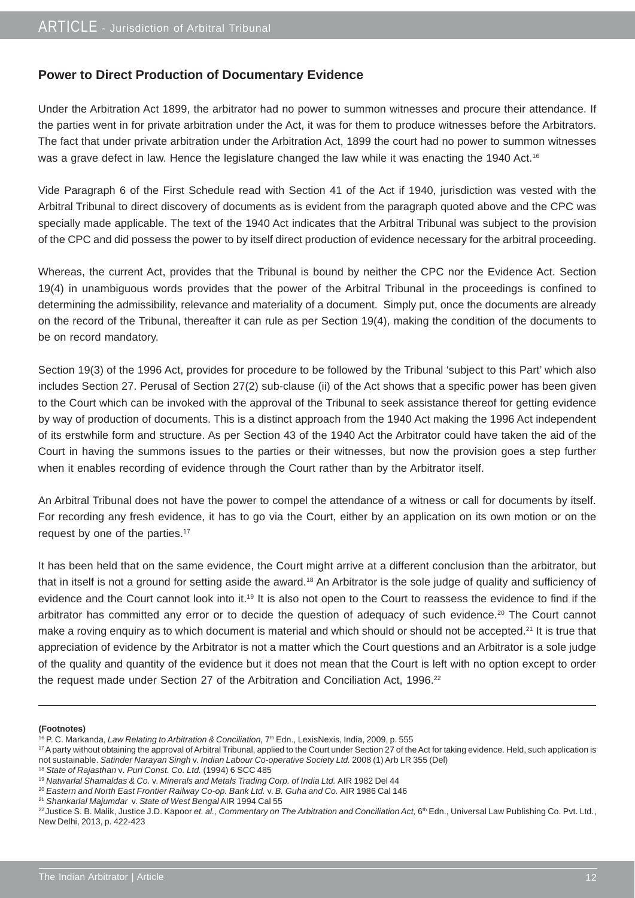#### **Power to Direct Production of Documentary Evidence**

Under the Arbitration Act 1899, the arbitrator had no power to summon witnesses and procure their attendance. If the parties went in for private arbitration under the Act, it was for them to produce witnesses before the Arbitrators. The fact that under private arbitration under the Arbitration Act, 1899 the court had no power to summon witnesses was a grave defect in law. Hence the legislature changed the law while it was enacting the 1940 Act.<sup>16</sup>

Vide Paragraph 6 of the First Schedule read with Section 41 of the Act if 1940, jurisdiction was vested with the Arbitral Tribunal to direct discovery of documents as is evident from the paragraph quoted above and the CPC was specially made applicable. The text of the 1940 Act indicates that the Arbitral Tribunal was subject to the provision of the CPC and did possess the power to by itself direct production of evidence necessary for the arbitral proceeding.

Whereas, the current Act, provides that the Tribunal is bound by neither the CPC nor the Evidence Act. Section 19(4) in unambiguous words provides that the power of the Arbitral Tribunal in the proceedings is confined to determining the admissibility, relevance and materiality of a document. Simply put, once the documents are already on the record of the Tribunal, thereafter it can rule as per Section 19(4), making the condition of the documents to be on record mandatory.

Section 19(3) of the 1996 Act, provides for procedure to be followed by the Tribunal 'subject to this Part' which also includes Section 27. Perusal of Section 27(2) sub-clause (ii) of the Act shows that a specific power has been given to the Court which can be invoked with the approval of the Tribunal to seek assistance thereof for getting evidence by way of production of documents. This is a distinct approach from the 1940 Act making the 1996 Act independent of its erstwhile form and structure. As per Section 43 of the 1940 Act the Arbitrator could have taken the aid of the Court in having the summons issues to the parties or their witnesses, but now the provision goes a step further when it enables recording of evidence through the Court rather than by the Arbitrator itself.

An Arbitral Tribunal does not have the power to compel the attendance of a witness or call for documents by itself. For recording any fresh evidence, it has to go via the Court, either by an application on its own motion or on the request by one of the parties.<sup>17</sup>

It has been held that on the same evidence, the Court might arrive at a different conclusion than the arbitrator, but that in itself is not a ground for setting aside the award.18 An Arbitrator is the sole judge of quality and sufficiency of evidence and the Court cannot look into it.<sup>19</sup> It is also not open to the Court to reassess the evidence to find if the arbitrator has committed any error or to decide the question of adequacy of such evidence.<sup>20</sup> The Court cannot make a roving enguiry as to which document is material and which should or should not be accepted.<sup>21</sup> It is true that appreciation of evidence by the Arbitrator is not a matter which the Court questions and an Arbitrator is a sole judge of the quality and quantity of the evidence but it does not mean that the Court is left with no option except to order the request made under Section 27 of the Arbitration and Conciliation Act, 1996.<sup>22</sup>

#### **(Footnotes)**

<sup>21</sup> *Shankarlal Majumdar* v. *State of West Bengal* AIR 1994 Cal 55

<sup>&</sup>lt;sup>16</sup> P. C. Markanda, *Law Relating to Arbitration & Conciliation*,  $7^{\text{th}}$  Edn., LexisNexis, India, 2009, p. 555

<sup>&</sup>lt;sup>17</sup> A party without obtaining the approval of Arbitral Tribunal, applied to the Court under Section 27 of the Act for taking evidence. Held, such application is not sustainable. *Satinder Narayan Singh* v. *Indian Labour Co-operative Society Ltd.* 2008 (1) Arb LR 355 (Del)

<sup>18</sup> *State of Rajasthan* v*. Puri Const. Co. Ltd.* (1994) 6 SCC 485

<sup>19</sup> *Natwarlal Shamaldas & Co.* v. *Minerals and Metals Trading Corp. of India Ltd.* AIR 1982 Del 44

<sup>20</sup> *Eastern and North East Frontier Railway Co-op. Bank Ltd.* v. *B. Guha and Co.* AIR 1986 Cal 146

<sup>&</sup>lt;sup>22</sup> Justice S. B. Malik, Justice J.D. Kapoor *et. al., Commentary on The Arbitration and Conciliation Act*, 6<sup>th</sup> Edn., Universal Law Publishing Co. Pvt. Ltd., New Delhi, 2013, p. 422-423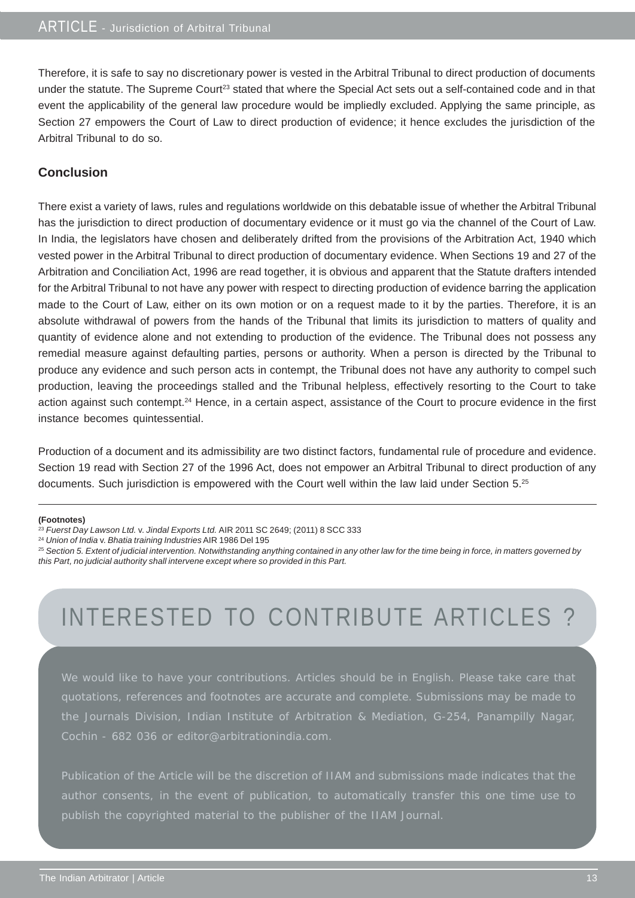Therefore, it is safe to say no discretionary power is vested in the Arbitral Tribunal to direct production of documents under the statute. The Supreme Court<sup>23</sup> stated that where the Special Act sets out a self-contained code and in that event the applicability of the general law procedure would be impliedly excluded. Applying the same principle, as Section 27 empowers the Court of Law to direct production of evidence; it hence excludes the jurisdiction of the Arbitral Tribunal to do so.

#### **Conclusion**

There exist a variety of laws, rules and regulations worldwide on this debatable issue of whether the Arbitral Tribunal has the jurisdiction to direct production of documentary evidence or it must go via the channel of the Court of Law. In India, the legislators have chosen and deliberately drifted from the provisions of the Arbitration Act, 1940 which vested power in the Arbitral Tribunal to direct production of documentary evidence. When Sections 19 and 27 of the Arbitration and Conciliation Act, 1996 are read together, it is obvious and apparent that the Statute drafters intended for the Arbitral Tribunal to not have any power with respect to directing production of evidence barring the application made to the Court of Law, either on its own motion or on a request made to it by the parties. Therefore, it is an absolute withdrawal of powers from the hands of the Tribunal that limits its jurisdiction to matters of quality and quantity of evidence alone and not extending to production of the evidence. The Tribunal does not possess any remedial measure against defaulting parties, persons or authority. When a person is directed by the Tribunal to produce any evidence and such person acts in contempt, the Tribunal does not have any authority to compel such production, leaving the proceedings stalled and the Tribunal helpless, effectively resorting to the Court to take action against such contempt.<sup>24</sup> Hence, in a certain aspect, assistance of the Court to procure evidence in the first instance becomes quintessential.

Production of a document and its admissibility are two distinct factors, fundamental rule of procedure and evidence. Section 19 read with Section 27 of the 1996 Act, does not empower an Arbitral Tribunal to direct production of any documents. Such jurisdiction is empowered with the Court well within the law laid under Section 5.<sup>25</sup>

#### **(Footnotes)**

<sup>25</sup> *Section 5. Extent of judicial intervention. Notwithstanding anything contained in any other law for the time being in force, in matters governed by this Part, no judicial authority shall intervene except where so provided in this Part.*

### INTERESTED TO CONTRIBUTE ARTICLES ?

We would like to have your contributions. Articles should be in English. Please take care that quotations, references and footnotes are accurate and complete. Submissions may be made to the Journals Division, Indian Institute of Arbitration & Mediation, G-254, Panampilly Nagar, Cochin - 682 036 or editor@arbitrationindia.com.

Publication of the Article will be the discretion of IIAM and submissions made indicates that the publish the copyrighted material to the publisher of the IIAM Journal.

<sup>23</sup> *Fuerst Day Lawson Ltd.* v. *Jindal Exports Ltd.* AIR 2011 SC 2649; (2011) 8 SCC 333

<sup>24</sup> *Union of India* v. *Bhatia training Industries* AIR 1986 Del 195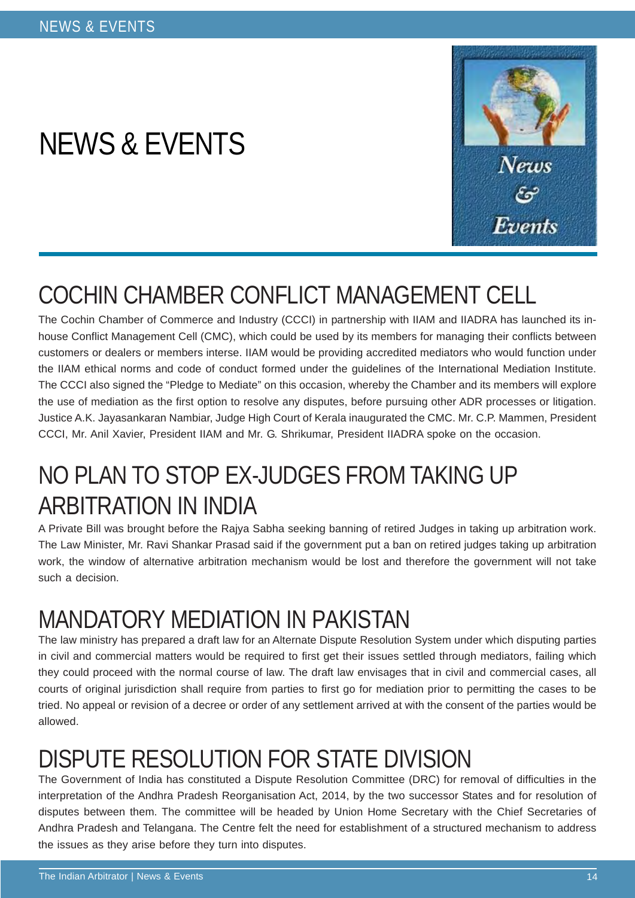# NEWS & EVENTS



# COCHIN CHAMBER CONFLICT MANAGEMENT CELL

The Cochin Chamber of Commerce and Industry (CCCI) in partnership with IIAM and IIADRA has launched its inhouse Conflict Management Cell (CMC), which could be used by its members for managing their conflicts between customers or dealers or members interse. IIAM would be providing accredited mediators who would function under the IIAM ethical norms and code of conduct formed under the guidelines of the International Mediation Institute. The CCCI also signed the "Pledge to Mediate" on this occasion, whereby the Chamber and its members will explore the use of mediation as the first option to resolve any disputes, before pursuing other ADR processes or litigation. Justice A.K. Jayasankaran Nambiar, Judge High Court of Kerala inaugurated the CMC. Mr. C.P. Mammen, President CCCI, Mr. Anil Xavier, President IIAM and Mr. G. Shrikumar, President IIADRA spoke on the occasion.

# NO PLAN TO STOP EX-JUDGES FROM TAKING UP ARBITRATION IN INDIA

A Private Bill was brought before the Rajya Sabha seeking banning of retired Judges in taking up arbitration work. The Law Minister, Mr. Ravi Shankar Prasad said if the government put a ban on retired judges taking up arbitration work, the window of alternative arbitration mechanism would be lost and therefore the government will not take such a decision.

# MANDATORY MEDIATION IN PAKISTAN

The law ministry has prepared a draft law for an Alternate Dispute Resolution System under which disputing parties in civil and commercial matters would be required to first get their issues settled through mediators, failing which they could proceed with the normal course of law. The draft law envisages that in civil and commercial cases, all courts of original jurisdiction shall require from parties to first go for mediation prior to permitting the cases to be tried. No appeal or revision of a decree or order of any settlement arrived at with the consent of the parties would be allowed.

# DISPUTE RESOLUTION FOR STATE DIVISION

The Government of India has constituted a Dispute Resolution Committee (DRC) for removal of difficulties in the interpretation of the Andhra Pradesh Reorganisation Act, 2014, by the two successor States and for resolution of disputes between them. The committee will be headed by Union Home Secretary with the Chief Secretaries of Andhra Pradesh and Telangana. The Centre felt the need for establishment of a structured mechanism to address the issues as they arise before they turn into disputes.